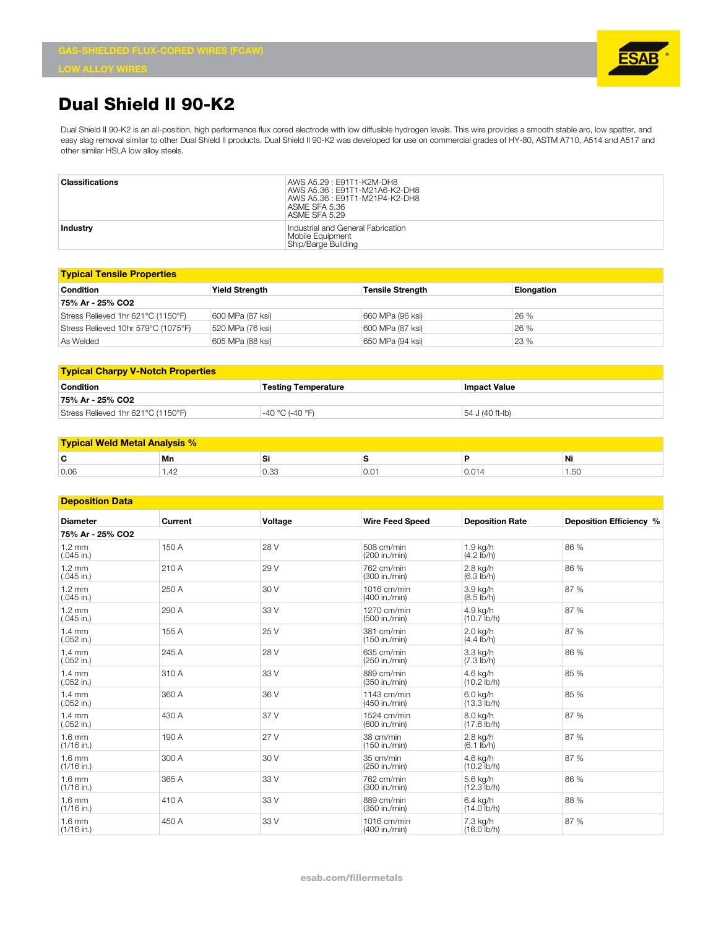

## **Dual Shield II 90-K2**

Dual Shield II 90-K2 is an all-position, high performance flux cored electrode with low diffusible hydrogen levels. This wire provides a smooth stable arc, low spatter, and easy slag removal similar to other Dual Shield II products. Dual Shield II 90-K2 was developed for use on commercial grades of HY-80, ASTM A710, A514 and A517 and other similar HSLA low alloy steels.

| <b>Classifications</b> | AWS A5.29: E91T1-K2M-DH8<br>AWS A5.36: E91T1-M21A6-K2-DH8<br>AWS A5.36: E91T1-M21P4-K2-DH8<br>ASME SFA 5.36<br>ASME SFA 5.29 |
|------------------------|------------------------------------------------------------------------------------------------------------------------------|
| <b>Industry</b>        | Industrial and General Fabrication<br>Mobile Equipment<br>Ship/Barge Building                                                |

| <b>Typical Tensile Properties</b>   |                       |                         |            |  |  |
|-------------------------------------|-----------------------|-------------------------|------------|--|--|
| <b>Condition</b>                    | <b>Yield Strength</b> | <b>Tensile Strength</b> | Elongation |  |  |
| 75% Ar - 25% CO2                    |                       |                         |            |  |  |
| Stress Relieved 1hr 621°C (1150°F)  | 600 MPa (87 ksi)      | 660 MPa (96 ksi)        | 26 %       |  |  |
| Stress Relieved 10hr 579°C (1075°F) | 520 MPa (76 ksi)      | 600 MPa (87 ksi)        | 26 %       |  |  |
| As Welded                           | 605 MPa (88 ksi)      | 650 MPa (94 ksi)        | 23 %       |  |  |

| <b>Typical Charpy V-Notch Properties</b> |                            |                 |  |  |
|------------------------------------------|----------------------------|-----------------|--|--|
| Condition                                | <b>Testing Temperature</b> | lmpact Value    |  |  |
| 75% Ar - 25% CO2                         |                            |                 |  |  |
| Stress Relieved 1hr 621°C (1150°F)       | -40 °C (-40 °F)            | 54 J (40 ft-lb) |  |  |

| <b>Typical Weld Metal Analysis %</b> |       |      |      |     |                |
|--------------------------------------|-------|------|------|-----|----------------|
| ∼<br>u                               | Mn    | ັ    |      |     | Ni             |
| 0.06                                 | I .42 | ∪.აა | U.UT | v.v | $\sim$<br>1.JU |

## **Deposition Data**

| <u>seponuon suu</u>              |         |         |                              |                                  |                         |  |
|----------------------------------|---------|---------|------------------------------|----------------------------------|-------------------------|--|
| <b>Diameter</b>                  | Current | Voltage | <b>Wire Feed Speed</b>       | <b>Deposition Rate</b>           | Deposition Efficiency % |  |
| 75% Ar - 25% CO2                 |         |         |                              |                                  |                         |  |
| $1.2 \text{ mm}$<br>$(.045$ in.) | 150 A   | 28 V    | 508 cm/min<br>(200 in./min)  | 1.9 kg/h<br>$(4.2$ lb/h)         | 86 %                    |  |
| $1.2 \text{ mm}$<br>$(.045$ in.) | 210 A   | 29 V    | 762 cm/min<br>(300 in./min)  | 2.8 kg/h<br>$(6.3 \text{ lb/h})$ | 86 %                    |  |
| $1.2 \text{ mm}$<br>$(.045$ in.) | 250 A   | 30 V    | 1016 cm/min<br>(400 in./min) | 3.9 kg/h<br>$(8.5 \, lb/h)$      | 87 %                    |  |
| $1.2 \text{ mm}$<br>$(.045$ in.) | 290 A   | 33 V    | 1270 cm/min<br>(500 in./min) | 4.9 kg/h<br>$(10.7$ lb/h)        | 87 %                    |  |
| $1.4 \text{ mm}$<br>$(.052$ in.) | 155 A   | 25 V    | 381 cm/min<br>(150 in./min)  | 2.0 kg/h<br>$(4.4 \, lb/h)$      | 87 %                    |  |
| $1.4 \text{ mm}$<br>$(.052$ in.) | 245 A   | 28 V    | 635 cm/min<br>(250 in./min)  | 3.3 kg/h<br>$(7.3 \text{ lb/h})$ | 86 %                    |  |
| $1.4 \text{ mm}$<br>$(.052$ in.) | 310 A   | 33 V    | 889 cm/min<br>(350 in./min)  | 4.6 kg/h<br>$(10.2$ lb/h)        | 85 %                    |  |
| $1.4 \text{ mm}$<br>$(.052$ in.) | 360 A   | 36 V    | 1143 cm/min<br>(450 in./min) | 6.0 kg/h<br>$(13.3$ lb/h)        | 85 %                    |  |
| $1.4 \text{ mm}$<br>$(.052$ in.) | 430 A   | 37 V    | 1524 cm/min<br>(600 in./min) | 8.0 kg/h<br>$(17.6$ lb/h)        | 87 %                    |  |
| $1.6 \text{ mm}$<br>$(1/16$ in.) | 190 A   | 27 V    | 38 cm/min<br>(150 in./min)   | 2.8 kg/h<br>$(6.1$ lb/h)         | 87 %                    |  |
| $1.6 \text{ mm}$<br>$(1/16$ in.) | 300 A   | 30 V    | 35 cm/min<br>(250 in./min)   | 4.6 kg/h<br>$(10.2$ lb/h)        | 87 %                    |  |
| $1.6 \text{ mm}$<br>$(1/16$ in.) | 365 A   | 33 V    | 762 cm/min<br>(300 in./min)  | 5.6 kg/h<br>$(12.3$ lb/h)        | 86 %                    |  |
| $1.6 \text{ mm}$<br>$(1/16$ in.) | 410 A   | 33 V    | 889 cm/min<br>(350 in./min)  | 6.4 kg/h<br>$(14.0$ lb/h)        | 88 %                    |  |
| $1.6 \text{ mm}$<br>$(1/16$ in.) | 450 A   | 33 V    | 1016 cm/min<br>(400 in./min) | 7.3 kg/h<br>$(16.0$ lb/h)        | 87 %                    |  |